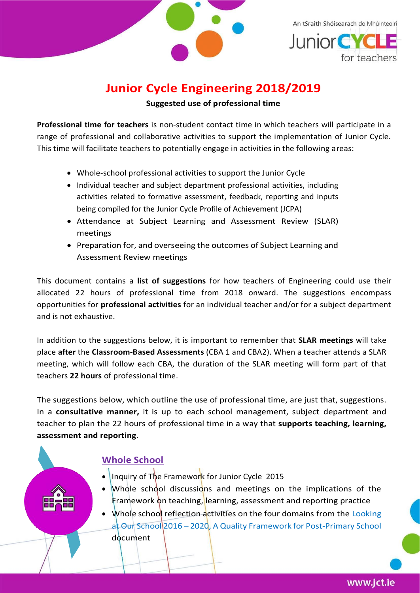

An tSraith Shóisearach do Mhúinteoirí **Junior CYC** 

## **Junior Cycle Engineering 2018/2019 Suggested use of professional time**

**Professional time for teachers** is non-student contact time in which teachers will participate in a range of professional and collaborative activities to support the implementation of Junior Cycle. This time will facilitate teachers to potentially engage in activities in the following areas:

- Whole-school professional activities to support the Junior Cycle
- Individual teacher and subject department professional activities, including activities related to formative assessment, feedback, reporting and inputs being compiled for the Junior Cycle Profile of Achievement (JCPA)
- Attendance at Subject Learning and Assessment Review (SLAR) meetings
- Preparation for, and overseeing the outcomes of Subject Learning and Assessment Review meetings

This document contains a **list of suggestions** for how teachers of Engineering could use their allocated 22 hours of professional time from 2018 onward. The suggestions encompass opportunities for **professional activities** for an individual teacher and/or for a subject department and is not exhaustive.

In addition to the suggestions below, it is important to remember that **SLAR meetings** will take place **after** the **Classroom-Based Assessments** (CBA 1 and CBA2). When a teacher attends a SLAR meeting, which will follow each CBA, the duration of the SLAR meeting will form part of that teachers **22 hours** of professional time.

The suggestions below, which outline the use of professional time, are just that, suggestions. In a **consultative manner,** it is up to each school management, subject department and teacher to plan the 22 hours of professional time in a way that **supports teaching, learning, assessment and reporting**.

### **Whole School**

- Inquiry of The Framework for Junior Cycle 2015
- Whole school discussions and meetings on the implications of the Framework on teaching, learning, assessment and reporting practice
- Whole school reflection activities on the four domains from the Looking at Our School 2016 – 2020, A Quality Framework for Post-Primary School document